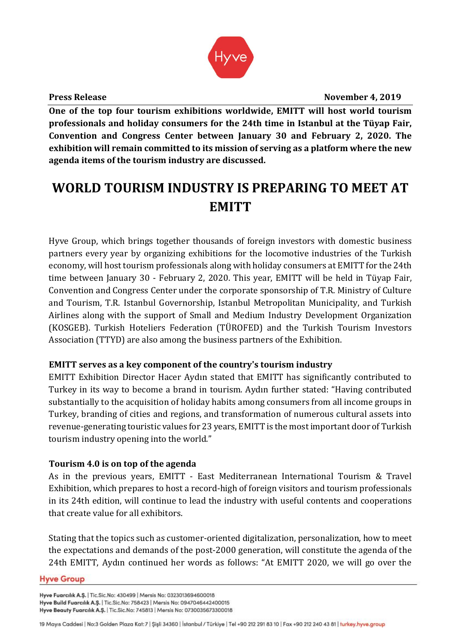

**Press Release November 4, 2019** 

**One of the top four tourism exhibitions worldwide, EMITT will host world tourism professionals and holiday consumers for the 24th time in Istanbul at the Tüyap Fair, Convention and Congress Center between January 30 and February 2, 2020. The exhibition will remain committed to its mission of serving as a platform where the new agenda items of the tourism industry are discussed.**

# **WORLD TOURISM INDUSTRY IS PREPARING TO MEET AT EMITT**

Hyve Group, which brings together thousands of foreign investors with domestic business partners every year by organizing exhibitions for the locomotive industries of the Turkish economy, will host tourism professionals along with holiday consumers at EMITT for the 24th time between January 30 - February 2, 2020. This year, EMITT will be held in Tüyap Fair, Convention and Congress Center under the corporate sponsorship of T.R. Ministry of Culture and Tourism, T.R. Istanbul Governorship, Istanbul Metropolitan Municipality, and Turkish Airlines along with the support of Small and Medium Industry Development Organization (KOSGEB). Turkish Hoteliers Federation (TÜROFED) and the Turkish Tourism Investors Association (TTYD) are also among the business partners of the Exhibition.

# **EMITT serves as a key component of the country's tourism industry**

EMITT Exhibition Director Hacer Aydın stated that EMITT has significantly contributed to Turkey in its way to become a brand in tourism. Aydın further stated: "Having contributed substantially to the acquisition of holiday habits among consumers from all income groups in Turkey, branding of cities and regions, and transformation of numerous cultural assets into revenue-generating touristic values for 23 years, EMITT is the most important door of Turkish tourism industry opening into the world."

# **Tourism 4.0 is on top of the agenda**

As in the previous years, EMITT - East Mediterranean International Tourism & Travel Exhibition, which prepares to host a record-high of foreign visitors and tourism professionals in its 24th edition, will continue to lead the industry with useful contents and cooperations that create value for all exhibitors.

Stating that the topics such as customer-oriented digitalization, personalization, how to meet the expectations and demands of the post-2000 generation, will constitute the agenda of the 24th EMITT, Aydın continued her words as follows: "At EMITT 2020, we will go over the

#### **Hyve Group**

Hyve Fuarcılık A.Ş. | Tic.Sic.No: 430499 | Mersis No: 0323013694600018 Hyve Build Fuarcılık A.Ş. | Tic.Sic.No: 758423 | Mersis No: 0947046442400015 Hyve Beauty Fuarcılık A.Ş. | Tic.Sic.No: 745813 | Mersis No: 0730035673300018

<sup>19</sup> Mayıs Caddesi | No:3 Golden Plaza Kat: 7 | Şişli 34360 | İstanbul / Türkiye | Tel +90 212 291 83 10 | Fax +90 212 240 43 81 | turkey.hyve.group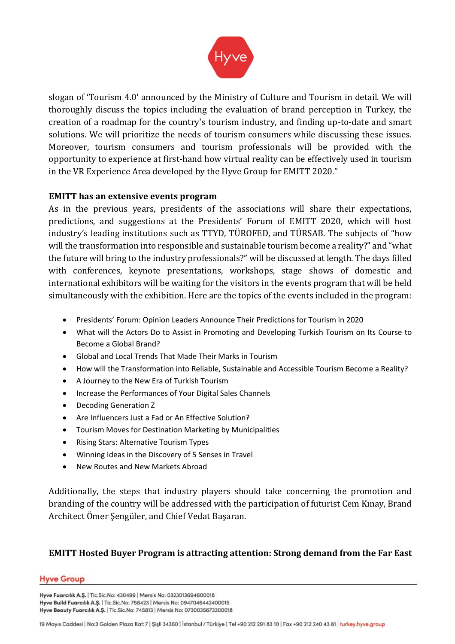

slogan of 'Tourism 4.0' announced by the Ministry of Culture and Tourism in detail. We will thoroughly discuss the topics including the evaluation of brand perception in Turkey, the creation of a roadmap for the country's tourism industry, and finding up-to-date and smart solutions. We will prioritize the needs of tourism consumers while discussing these issues. Moreover, tourism consumers and tourism professionals will be provided with the opportunity to experience at first-hand how virtual reality can be effectively used in tourism in the VR Experience Area developed by the Hyve Group for EMITT 2020."

## **EMITT has an extensive events program**

As in the previous years, presidents of the associations will share their expectations, predictions, and suggestions at the Presidents' Forum of EMITT 2020, which will host industry's leading institutions such as TTYD, TÜROFED, and TÜRSAB. The subjects of "how will the transformation into responsible and sustainable tourism become a reality?" and "what the future will bring to the industry professionals?" will be discussed at length. The days filled with conferences, keynote presentations, workshops, stage shows of domestic and international exhibitors will be waiting for the visitors in the events program that will be held simultaneously with the exhibition. Here are the topics of the events included in the program:

- Presidents' Forum: Opinion Leaders Announce Their Predictions for Tourism in 2020
- What will the Actors Do to Assist in Promoting and Developing Turkish Tourism on Its Course to Become a Global Brand?
- Global and Local Trends That Made Their Marks in Tourism
- How will the Transformation into Reliable, Sustainable and Accessible Tourism Become a Reality?
- A Journey to the New Era of Turkish Tourism
- Increase the Performances of Your Digital Sales Channels
- Decoding Generation Z
- Are Influencers Just a Fad or An Effective Solution?
- Tourism Moves for Destination Marketing by Municipalities
- Rising Stars: Alternative Tourism Types
- Winning Ideas in the Discovery of 5 Senses in Travel
- New Routes and New Markets Abroad

Additionally, the steps that industry players should take concerning the promotion and branding of the country will be addressed with the participation of futurist Cem Kınay, Brand Architect Ömer Şengüler, and Chief Vedat Başaran.

# **EMITT Hosted Buyer Program is attracting attention: Strong demand from the Far East**

#### **Hyve Group**

Hyve Fuarcılık A.Ş. | Tic.Sic.No: 430499 | Mersis No: 0323013694600018 Hyve Build Fuarcılık A.Ş. | Tic.Sic.No: 758423 | Mersis No: 0947046442400015 Hyve Beauty Fuarcılık A.Ş. | Tic.Sic.No: 745813 | Mersis No: 0730035673300018

19 Mayıs Caddesi | No:3 Golden Plaza Kat: 7 | Şişli 34360 | İstanbul / Türkiye | Tel +90 212 291 83 10 | Fax +90 212 240 43 81 | turkey.hyve.group